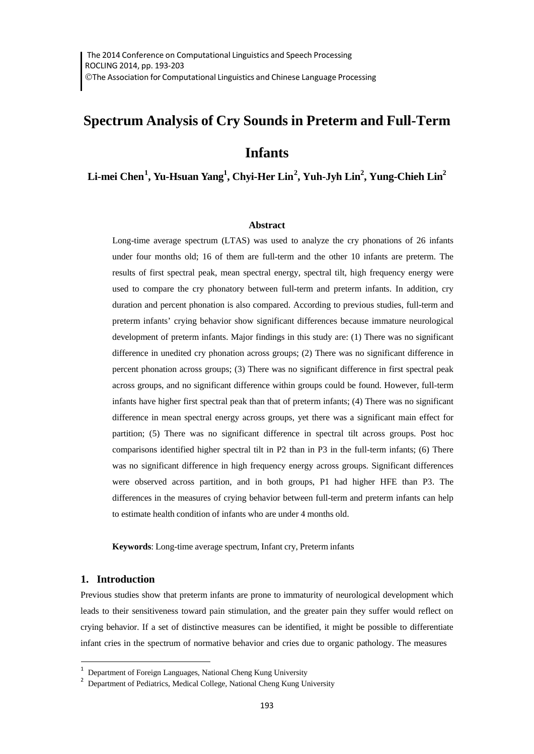# **Spectrum Analysis of Cry Sounds in Preterm and Full-Term**

# **Infants**

# $\mathbf{Lin}\text{-}\mathbf{mei}\ \mathbf{Chen}^1\text{,}\ \mathbf{Yu}\text{-}\mathbf{Hsuan}\ \mathbf{Yang}^1\text{,}\ \mathbf{Chyi}\text{-}\mathbf{Her}\ \mathbf{Lin}^2\text{,}\ \mathbf{Yuh}\text{-}\mathbf{Jyh}\ \mathbf{Lin}^2\text{,}\ \mathbf{Yung}\text{-}\mathbf{Chieh}\ \mathbf{Lin}^2\text{,}$  $\mathbf{Lin}\text{-}\mathbf{mei}\ \mathbf{Chen}^1\text{,}\ \mathbf{Yu}\text{-}\mathbf{Hsuan}\ \mathbf{Yang}^1\text{,}\ \mathbf{Chyi}\text{-}\mathbf{Her}\ \mathbf{Lin}^2\text{,}\ \mathbf{Yuh}\text{-}\mathbf{Jyh}\ \mathbf{Lin}^2\text{,}\ \mathbf{Yung}\text{-}\mathbf{Chieh}\ \mathbf{Lin}^2\text{,}$  $\mathbf{Lin}\text{-}\mathbf{mei}\ \mathbf{Chen}^1\text{,}\ \mathbf{Yu}\text{-}\mathbf{Hsuan}\ \mathbf{Yang}^1\text{,}\ \mathbf{Chyi}\text{-}\mathbf{Her}\ \mathbf{Lin}^2\text{,}\ \mathbf{Yuh}\text{-}\mathbf{Jyh}\ \mathbf{Lin}^2\text{,}\ \mathbf{Yung}\text{-}\mathbf{Chieh}\ \mathbf{Lin}^2\text{,}$  $\mathbf{Lin}\text{-}\mathbf{mei}\ \mathbf{Chen}^1\text{,}\ \mathbf{Yu}\text{-}\mathbf{Hsuan}\ \mathbf{Yang}^1\text{,}\ \mathbf{Chyi}\text{-}\mathbf{Her}\ \mathbf{Lin}^2\text{,}\ \mathbf{Yuh}\text{-}\mathbf{Jyh}\ \mathbf{Lin}^2\text{,}\ \mathbf{Yung}\text{-}\mathbf{Chieh}\ \mathbf{Lin}^2\text{,}$  $\mathbf{Lin}\text{-}\mathbf{mei}\ \mathbf{Chen}^1\text{,}\ \mathbf{Yu}\text{-}\mathbf{Hsuan}\ \mathbf{Yang}^1\text{,}\ \mathbf{Chyi}\text{-}\mathbf{Her}\ \mathbf{Lin}^2\text{,}\ \mathbf{Yuh}\text{-}\mathbf{Jyh}\ \mathbf{Lin}^2\text{,}\ \mathbf{Yung}\text{-}\mathbf{Chieh}\ \mathbf{Lin}^2\text{,}$

#### **Abstract**

Long-time average spectrum (LTAS) was used to analyze the cry phonations of 26 infants under four months old; 16 of them are full-term and the other 10 infants are preterm. The results of first spectral peak, mean spectral energy, spectral tilt, high frequency energy were used to compare the cry phonatory between full-term and preterm infants. In addition, cry duration and percent phonation is also compared. According to previous studies, full-term and preterm infants' crying behavior show significant differences because immature neurological development of preterm infants. Major findings in this study are: (1) There was no significant difference in unedited cry phonation across groups; (2) There was no significant difference in percent phonation across groups; (3) There was no significant difference in first spectral peak across groups, and no significant difference within groups could be found. However, full-term infants have higher first spectral peak than that of preterm infants; (4) There was no significant difference in mean spectral energy across groups, yet there was a significant main effect for partition; (5) There was no significant difference in spectral tilt across groups. Post hoc comparisons identified higher spectral tilt in P2 than in P3 in the full-term infants; (6) There was no significant difference in high frequency energy across groups. Significant differences were observed across partition, and in both groups, P1 had higher HFE than P3. The differences in the measures of crying behavior between full-term and preterm infants can help to estimate health condition of infants who are under 4 months old.

**Keywords**: Long-time average spectrum, Infant cry, Preterm infants

#### **1. Introduction**

Previous studies show that preterm infants are prone to immaturity of neurological development which leads to their sensitiveness toward pain stimulation, and the greater pain they suffer would reflect on crying behavior. If a set of distinctive measures can be identified, it might be possible to differentiate infant cries in the spectrum of normative behavior and cries due to organic pathology. The measures

<span id="page-0-0"></span><sup>&</sup>lt;sup>1</sup> Department of Foreign Languages, National Cheng Kung University

<span id="page-0-1"></span><sup>&</sup>lt;sup>2</sup> Department of Pediatrics, Medical College, National Cheng Kung University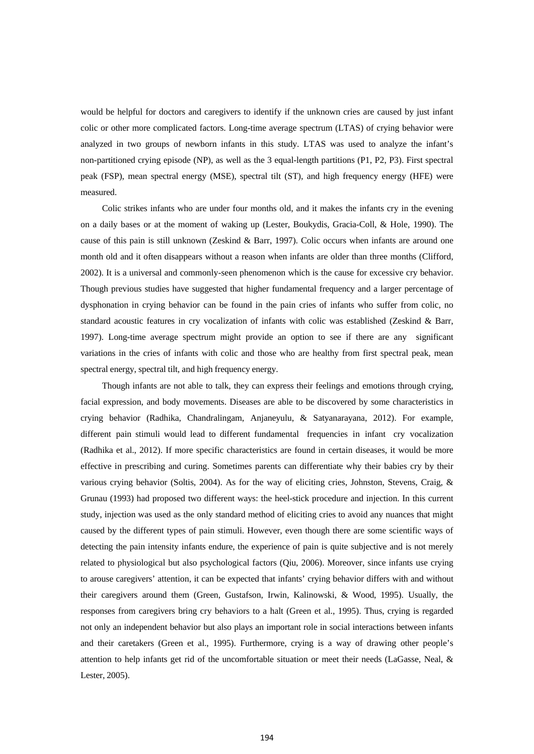would be helpful for doctors and caregivers to identify if the unknown cries are caused by just infant colic or other more complicated factors. Long-time average spectrum (LTAS) of crying behavior were analyzed in two groups of newborn infants in this study. LTAS was used to analyze the infant's non-partitioned crying episode (NP), as well as the 3 equal-length partitions (P1, P2, P3). First spectral peak (FSP), mean spectral energy (MSE), spectral tilt (ST), and high frequency energy (HFE) were measured.

Colic strikes infants who are under four months old, and it makes the infants cry in the evening on a daily bases or at the moment of waking up (Lester, Boukydis, Gracia-Coll, & Hole, 1990). The cause of this pain is still unknown (Zeskind & Barr, 1997). Colic occurs when infants are around one month old and it often disappears without a reason when infants are older than three months (Clifford, 2002). It is a universal and commonly-seen phenomenon which is the cause for excessive cry behavior. Though previous studies have suggested that higher fundamental frequency and a larger percentage of dysphonation in crying behavior can be found in the pain cries of infants who suffer from colic, no standard acoustic features in cry vocalization of infants with colic was established (Zeskind & Barr, 1997). Long-time average spectrum might provide an option to see if there are any significant variations in the cries of infants with colic and those who are healthy from first spectral peak, mean spectral energy, spectral tilt, and high frequency energy.

Though infants are not able to talk, they can express their feelings and emotions through crying, facial expression, and body movements. Diseases are able to be discovered by some characteristics in crying behavior (Radhika, Chandralingam, Anjaneyulu, & Satyanarayana, 2012). For example, different pain stimuli would lead to different fundamental frequencies in infant cry vocalization (Radhika et al., 2012). If more specific characteristics are found in certain diseases, it would be more effective in prescribing and curing. Sometimes parents can differentiate why their babies cry by their various crying behavior (Soltis, 2004). As for the way of eliciting cries, Johnston, Stevens, Craig, & Grunau (1993) had proposed two different ways: the heel-stick procedure and injection. In this current study, injection was used as the only standard method of eliciting cries to avoid any nuances that might caused by the different types of pain stimuli. However, even though there are some scientific ways of detecting the pain intensity infants endure, the experience of pain is quite subjective and is not merely related to physiological but also psychological factors (Qiu, 2006). Moreover, since infants use crying to arouse caregivers' attention, it can be expected that infants' crying behavior differs with and without their caregivers around them (Green, Gustafson, Irwin, Kalinowski, & Wood, 1995). Usually, the responses from caregivers bring cry behaviors to a halt (Green et al., 1995). Thus, crying is regarded not only an independent behavior but also plays an important role in social interactions between infants and their caretakers (Green et al., 1995). Furthermore, crying is a way of drawing other people's attention to help infants get rid of the uncomfortable situation or meet their needs (LaGasse, Neal, & Lester, 2005).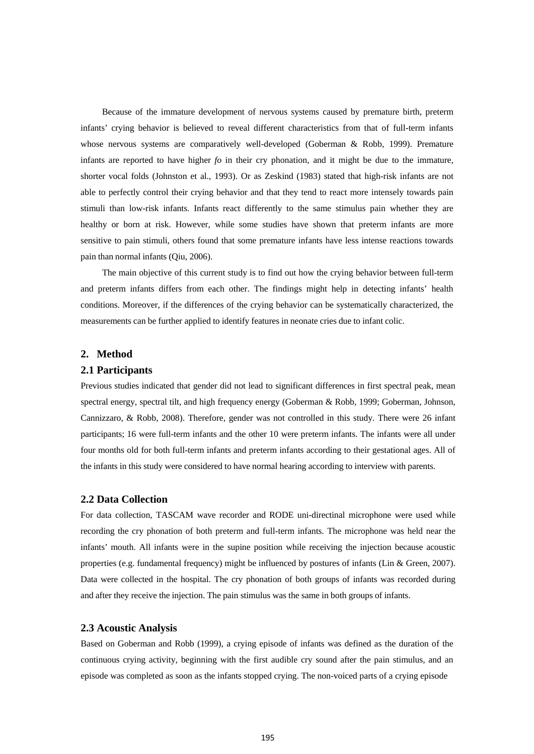Because of the immature development of nervous systems caused by premature birth, preterm infants' crying behavior is believed to reveal different characteristics from that of full-term infants whose nervous systems are comparatively well-developed (Goberman & Robb, 1999). Premature infants are reported to have higher *fo* in their cry phonation, and it might be due to the immature, shorter vocal folds (Johnston et al., 1993). Or as Zeskind (1983) stated that high-risk infants are not able to perfectly control their crying behavior and that they tend to react more intensely towards pain stimuli than low-risk infants. Infants react differently to the same stimulus pain whether they are healthy or born at risk. However, while some studies have shown that preterm infants are more sensitive to pain stimuli, others found that some premature infants have less intense reactions towards pain than normal infants (Qiu, 2006).

The main objective of this current study is to find out how the crying behavior between full-term and preterm infants differs from each other. The findings might help in detecting infants' health conditions. Moreover, if the differences of the crying behavior can be systematically characterized, the measurements can be further applied to identify features in neonate cries due to infant colic.

#### **2. Method**

#### **2.1 Participants**

Previous studies indicated that gender did not lead to significant differences in first spectral peak, mean spectral energy, spectral tilt, and high frequency energy (Goberman & Robb, 1999; Goberman, Johnson, Cannizzaro, & Robb, 2008). Therefore, gender was not controlled in this study. There were 26 infant participants; 16 were full-term infants and the other 10 were preterm infants. The infants were all under four months old for both full-term infants and preterm infants according to their gestational ages. All of the infants in this study were considered to have normal hearing according to interview with parents.

#### **2.2 Data Collection**

For data collection, TASCAM wave recorder and RODE uni-directinal microphone were used while recording the cry phonation of both preterm and full-term infants. The microphone was held near the infants' mouth. All infants were in the supine position while receiving the injection because acoustic properties (e.g. fundamental frequency) might be influenced by postures of infants (Lin & Green, 2007). Data were collected in the hospital. The cry phonation of both groups of infants was recorded during and after they receive the injection. The pain stimulus was the same in both groups of infants.

#### **2.3 Acoustic Analysis**

Based on Goberman and Robb (1999), a crying episode of infants was defined as the duration of the continuous crying activity, beginning with the first audible cry sound after the pain stimulus, and an episode was completed as soon as the infants stopped crying. The non-voiced parts of a crying episode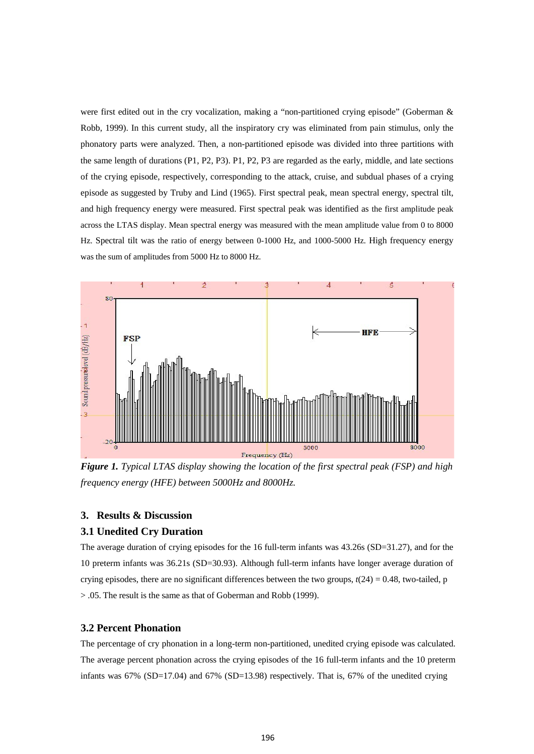were first edited out in the cry vocalization, making a "non-partitioned crying episode" (Goberman & Robb, 1999). In this current study, all the inspiratory cry was eliminated from pain stimulus, only the phonatory parts were analyzed. Then, a non-partitioned episode was divided into three partitions with the same length of durations (P1, P2, P3). P1, P2, P3 are regarded as the early, middle, and late sections of the crying episode, respectively, corresponding to the attack, cruise, and subdual phases of a crying episode as suggested by Truby and Lind (1965). First spectral peak, mean spectral energy, spectral tilt, and high frequency energy were measured. First spectral peak was identified as the first amplitude peak across the LTAS display. Mean spectral energy was measured with the mean amplitude value from 0 to 8000 Hz. Spectral tilt was the ratio of energy between 0-1000 Hz, and 1000-5000 Hz. High frequency energy was the sum of amplitudes from 5000 Hz to 8000 Hz.



*Figure 1. Typical LTAS display showing the location of the first spectral peak (FSP) and high frequency energy (HFE) between 5000Hz and 8000Hz.*

## **3. Results & Discussion**

#### **3.1 Unedited Cry Duration**

The average duration of crying episodes for the 16 full-term infants was 43.26s (SD=31.27), and for the 10 preterm infants was 36.21s (SD=30.93). Although full-term infants have longer average duration of crying episodes, there are no significant differences between the two groups,  $t(24) = 0.48$ , two-tailed, p > .05. The result is the same as that of Goberman and Robb (1999).

#### **3.2 Percent Phonation**

The percentage of cry phonation in a long-term non-partitioned, unedited crying episode was calculated. The average percent phonation across the crying episodes of the 16 full-term infants and the 10 preterm infants was 67% (SD=17.04) and 67% (SD=13.98) respectively. That is, 67% of the unedited crying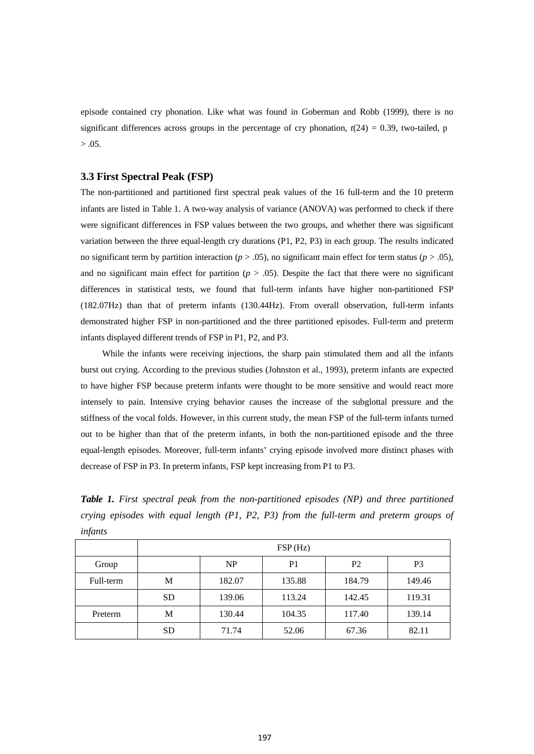episode contained cry phonation. Like what was found in Goberman and Robb (1999), there is no significant differences across groups in the percentage of cry phonation,  $t(24) = 0.39$ , two-tailed, p  $> .05.$ 

#### **3.3 First Spectral Peak (FSP)**

The non-partitioned and partitioned first spectral peak values of the 16 full-term and the 10 preterm infants are listed in Table 1. A two-way analysis of variance (ANOVA) was performed to check if there were significant differences in FSP values between the two groups, and whether there was significant variation between the three equal-length cry durations (P1, P2, P3) in each group. The results indicated no significant term by partition interaction  $(p > .05)$ , no significant main effect for term status  $(p > .05)$ , and no significant main effect for partition  $(p > .05)$ . Despite the fact that there were no significant differences in statistical tests, we found that full-term infants have higher non-partitioned FSP (182.07Hz) than that of preterm infants (130.44Hz). From overall observation, full-term infants demonstrated higher FSP in non-partitioned and the three partitioned episodes. Full-term and preterm infants displayed different trends of FSP in P1, P2, and P3.

While the infants were receiving injections, the sharp pain stimulated them and all the infants burst out crying. According to the previous studies (Johnston et al., 1993), preterm infants are expected to have higher FSP because preterm infants were thought to be more sensitive and would react more intensely to pain. Intensive crying behavior causes the increase of the subglottal pressure and the stiffness of the vocal folds. However, in this current study, the mean FSP of the full-term infants turned out to be higher than that of the preterm infants, in both the non-partitioned episode and the three equal-length episodes. Moreover, full-term infants' crying episode involved more distinct phases with decrease of FSP in P3. In preterm infants, FSP kept increasing from P1 to P3.

*Table 1. First spectral peak from the non-partitioned episodes (NP) and three partitioned crying episodes with equal length (P1, P2, P3) from the full-term and preterm groups of infants*

|           | FSP(Hz)   |           |                |                |                |
|-----------|-----------|-----------|----------------|----------------|----------------|
| Group     |           | <b>NP</b> | P <sub>1</sub> | P <sub>2</sub> | P <sub>3</sub> |
| Full-term | М         | 182.07    | 135.88         | 184.79         | 149.46         |
|           | <b>SD</b> | 139.06    | 113.24         | 142.45         | 119.31         |
| Preterm   | М         | 130.44    | 104.35         | 117.40         | 139.14         |
|           | <b>SD</b> | 71.74     | 52.06          | 67.36          | 82.11          |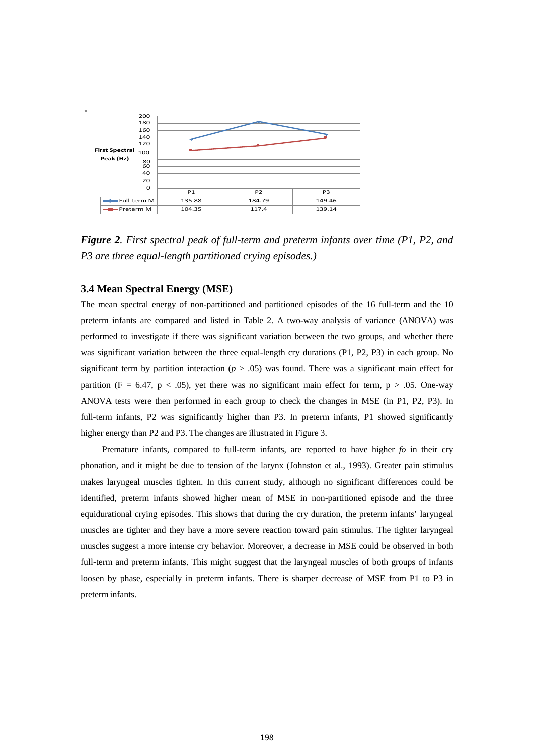

*Figure 2. First spectral peak of full-term and preterm infants over time (P1, P2, and P3 are three equal-length partitioned crying episodes.)*

## **3.4 Mean Spectral Energy (MSE)**

The mean spectral energy of non-partitioned and partitioned episodes of the 16 full-term and the 10 preterm infants are compared and listed in Table 2. A two-way analysis of variance (ANOVA) was performed to investigate if there was significant variation between the two groups, and whether there was significant variation between the three equal-length cry durations (P1, P2, P3) in each group. No significant term by partition interaction ( $p > .05$ ) was found. There was a significant main effect for partition (F = 6.47, p < .05), yet there was no significant main effect for term, p > .05. One-way ANOVA tests were then performed in each group to check the changes in MSE (in P1, P2, P3). In full-term infants, P2 was significantly higher than P3. In preterm infants, P1 showed significantly higher energy than P2 and P3. The changes are illustrated in Figure 3.

Premature infants, compared to full-term infants, are reported to have higher *fo* in their cry phonation, and it might be due to tension of the larynx (Johnston et al., 1993). Greater pain stimulus makes laryngeal muscles tighten. In this current study, although no significant differences could be identified, preterm infants showed higher mean of MSE in non-partitioned episode and the three equidurational crying episodes. This shows that during the cry duration, the preterm infants' laryngeal muscles are tighter and they have a more severe reaction toward pain stimulus. The tighter laryngeal muscles suggest a more intense cry behavior. Moreover, a decrease in MSE could be observed in both full-term and preterm infants. This might suggest that the laryngeal muscles of both groups of infants loosen by phase, especially in preterm infants. There is sharper decrease of MSE from P1 to P3 in preterm infants.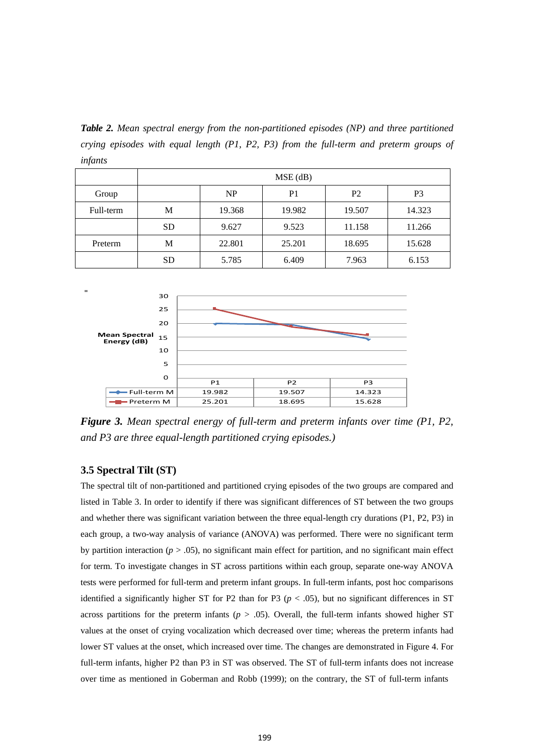*Table 2. Mean spectral energy from the non-partitioned episodes (NP) and three partitioned crying episodes with equal length (P1, P2, P3) from the full-term and preterm groups of infants*

|           | $MSE$ (dB) |           |                |                |                |
|-----------|------------|-----------|----------------|----------------|----------------|
| Group     |            | <b>NP</b> | P <sub>1</sub> | P <sub>2</sub> | P <sub>3</sub> |
| Full-term | М          | 19.368    | 19.982         | 19.507         | 14.323         |
|           | <b>SD</b>  | 9.627     | 9.523          | 11.158         | 11.266         |
| Preterm   | М          | 22.801    | 25.201         | 18.695         | 15.628         |
|           | <b>SD</b>  | 5.785     | 6.409          | 7.963          | 6.153          |



*Figure 3. Mean spectral energy of full-term and preterm infants over time (P1, P2, and P3 are three equal-length partitioned crying episodes.)*

### **3.5 Spectral Tilt (ST)**

The spectral tilt of non-partitioned and partitioned crying episodes of the two groups are compared and listed in Table 3. In order to identify if there was significant differences of ST between the two groups and whether there was significant variation between the three equal-length cry durations (P1, P2, P3) in each group, a two-way analysis of variance (ANOVA) was performed. There were no significant term by partition interaction (*p* > .05), no significant main effect for partition, and no significant main effect for term. To investigate changes in ST across partitions within each group, separate one-way ANOVA tests were performed for full-term and preterm infant groups. In full-term infants, post hoc comparisons identified a significantly higher ST for P2 than for P3 ( $p < .05$ ), but no significant differences in ST across partitions for the preterm infants  $(p > .05)$ . Overall, the full-term infants showed higher ST values at the onset of crying vocalization which decreased over time; whereas the preterm infants had lower ST values at the onset, which increased over time. The changes are demonstrated in Figure 4. For full-term infants, higher P2 than P3 in ST was observed. The ST of full-term infants does not increase over time as mentioned in Goberman and Robb (1999); on the contrary, the ST of full-term infants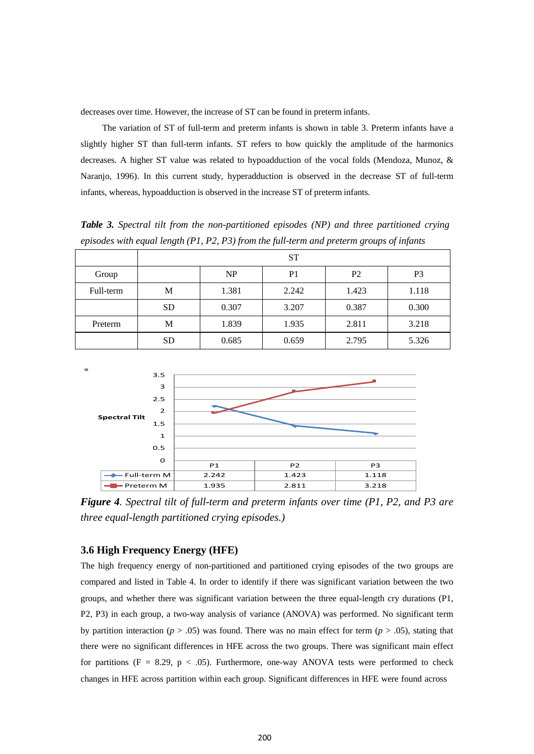decreases over time. However, the increase of ST can be found in preterm infants.

The variation of ST of full-term and preterm infants is shown in table 3. Preterm infants have a slightly higher ST than full-term infants. ST refers to how quickly the amplitude of the harmonics decreases. A higher ST value was related to hypoadduction of the vocal folds (Mendoza, Munoz, & Naranjo, 1996). In this current study, hyperadduction is observed in the decrease ST of full-term infants, whereas, hypoadduction is observed in the increase ST of preterm infants.

*Table 3. Spectral tilt from the non-partitioned episodes (NP) and three partitioned crying episodes with equal length (P1, P2, P3) from the full-term and preterm groups of infants*

|           | <b>ST</b> |           |                |                |       |
|-----------|-----------|-----------|----------------|----------------|-------|
| Group     |           | <b>NP</b> | P <sub>1</sub> | P <sub>2</sub> | P3    |
| Full-term | M         | 1.381     | 2.242          | 1.423          | 1.118 |
|           | <b>SD</b> | 0.307     | 3.207          | 0.387          | 0.300 |
| Preterm   | М         | 1.839     | 1.935          | 2.811          | 3.218 |
|           | <b>SD</b> | 0.685     | 0.659          | 2.795          | 5.326 |



*Figure 4. Spectral tilt of full-term and preterm infants over time (P1, P2, and P3 are three equal-length partitioned crying episodes.)*

#### **3.6 High Frequency Energy (HFE)**

The high frequency energy of non-partitioned and partitioned crying episodes of the two groups are compared and listed in Table 4. In order to identify if there was significant variation between the two groups, and whether there was significant variation between the three equal-length cry durations (P1, P2, P3) in each group, a two-way analysis of variance (ANOVA) was performed. No significant term by partition interaction ( $p > .05$ ) was found. There was no main effect for term ( $p > .05$ ), stating that there were no significant differences in HFE across the two groups. There was significant main effect for partitions (F = 8.29, p < .05). Furthermore, one-way ANOVA tests were performed to check changes in HFE across partition within each group. Significant differences in HFE were found across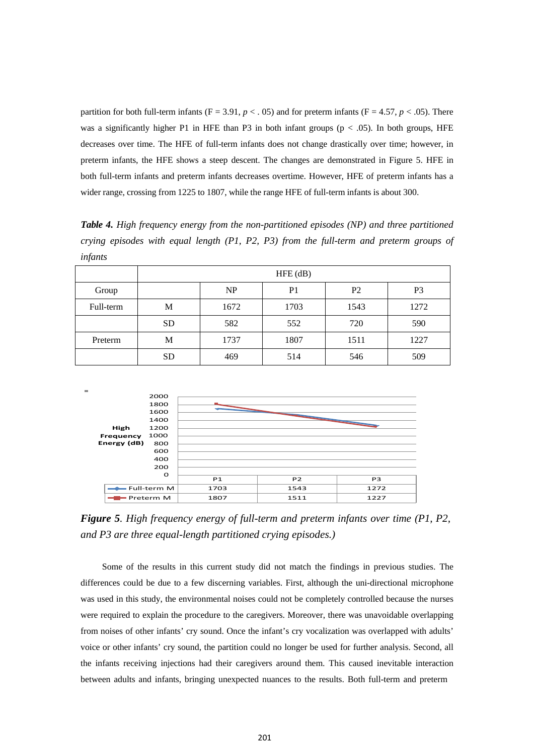partition for both full-term infants ( $F = 3.91$ ,  $p < .05$ ) and for preterm infants ( $F = 4.57$ ,  $p < .05$ ). There was a significantly higher P1 in HFE than P3 in both infant groups ( $p < .05$ ). In both groups, HFE decreases over time. The HFE of full-term infants does not change drastically over time; however, in preterm infants, the HFE shows a steep descent. The changes are demonstrated in Figure 5. HFE in both full-term infants and preterm infants decreases overtime. However, HFE of preterm infants has a wider range, crossing from 1225 to 1807, while the range HFE of full-term infants is about 300.

*Table 4. High frequency energy from the non-partitioned episodes (NP) and three partitioned crying episodes with equal length (P1, P2, P3) from the full-term and preterm groups of infants*

|           | $HFE$ (dB) |           |                |                |                |
|-----------|------------|-----------|----------------|----------------|----------------|
| Group     |            | <b>NP</b> | P <sub>1</sub> | P <sub>2</sub> | P <sub>3</sub> |
| Full-term | М          | 1672      | 1703           | 1543           | 1272           |
|           | <b>SD</b>  | 582       | 552            | 720            | 590            |
| Preterm   | M          | 1737      | 1807           | 1511           | 1227           |
|           | <b>SD</b>  | 469       | 514            | 546            | 509            |



*Figure 5. High frequency energy of full-term and preterm infants over time (P1, P2, and P3 are three equal-length partitioned crying episodes.)*

Some of the results in this current study did not match the findings in previous studies. The differences could be due to a few discerning variables. First, although the uni-directional microphone was used in this study, the environmental noises could not be completely controlled because the nurses were required to explain the procedure to the caregivers. Moreover, there was unavoidable overlapping from noises of other infants' cry sound. Once the infant's cry vocalization was overlapped with adults' voice or other infants' cry sound, the partition could no longer be used for further analysis. Second, all the infants receiving injections had their caregivers around them. This caused inevitable interaction between adults and infants, bringing unexpected nuances to the results. Both full-term and preterm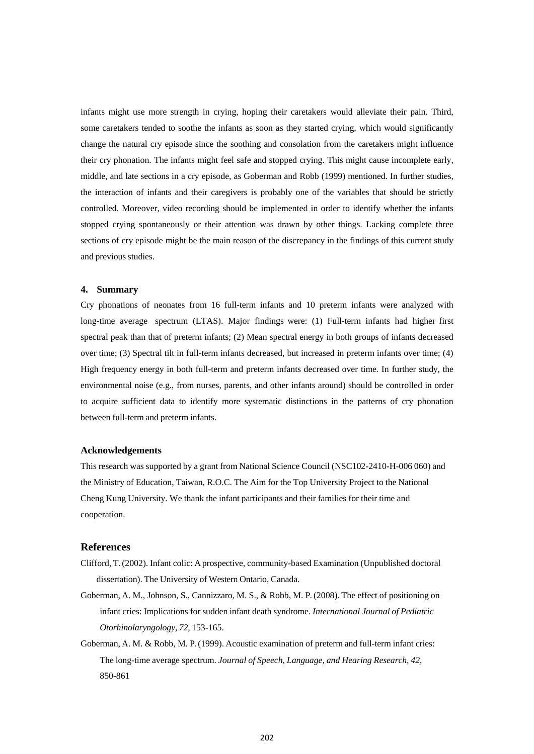infants might use more strength in crying, hoping their caretakers would alleviate their pain. Third, some caretakers tended to soothe the infants as soon as they started crying, which would significantly change the natural cry episode since the soothing and consolation from the caretakers might influence their cry phonation. The infants might feel safe and stopped crying. This might cause incomplete early, middle, and late sections in a cry episode, as Goberman and Robb (1999) mentioned. In further studies, the interaction of infants and their caregivers is probably one of the variables that should be strictly controlled. Moreover, video recording should be implemented in order to identify whether the infants stopped crying spontaneously or their attention was drawn by other things. Lacking complete three sections of cry episode might be the main reason of the discrepancy in the findings of this current study and previous studies.

#### **4. Summary**

Cry phonations of neonates from 16 full-term infants and 10 preterm infants were analyzed with long-time average spectrum (LTAS). Major findings were: (1) Full-term infants had higher first spectral peak than that of preterm infants; (2) Mean spectral energy in both groups of infants decreased over time; (3) Spectral tilt in full-term infants decreased, but increased in preterm infants over time; (4) High frequency energy in both full-term and preterm infants decreased over time. In further study, the environmental noise (e.g., from nurses, parents, and other infants around) should be controlled in order to acquire sufficient data to identify more systematic distinctions in the patterns of cry phonation between full-term and preterm infants.

#### **Acknowledgements**

This research was supported by a grant from National Science Council (NSC102-2410-H-006 060) and the Ministry of Education, Taiwan, R.O.C. The Aim for the Top University Project to the National Cheng Kung University. We thank the infant participants and their families for their time and cooperation.

#### **References**

- Clifford, T.(2002). Infant colic: A prospective, community-based Examination (Unpublished doctoral dissertation). The University of Western Ontario, Canada.
- Goberman, A. M., Johnson, S., Cannizzaro, M. S., & Robb, M. P.(2008). The effect of positioning on infant cries: Implications for sudden infant death syndrome. *International Journal of Pediatric Otorhinolaryngology, 72*, 153-165.
- Goberman, A. M. & Robb, M. P.(1999). Acoustic examination of preterm and full-term infant cries: The long-time average spectrum. *Journal of Speech, Language, and Hearing Research, 42*, 850-861